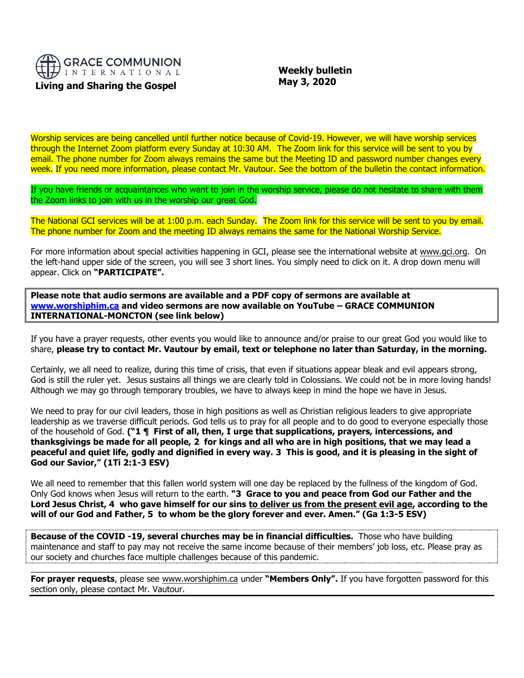

## **Living and Sharing the Gospel**

 **Weekly bulletin May 3, 2020**

Worship services are being cancelled until further notice because of Covid-19. However, we will have worship services through the Internet Zoom platform every Sunday at 10:30 AM. The Zoom link for this service will be sent to you by email. The phone number for Zoom always remains the same but the Meeting ID and password number changes every week. If you need more information, please contact Mr. Vautour. See the bottom of the bulletin the contact information.

If you have friends or acquaintances who want to join in the worship service, please do not hesitate to share with them the Zoom links to join with us in the worship our great God.

The National GCI services will be at 1:00 p.m. each Sunday. The Zoom link for this service will be sent to you by email. The phone number for Zoom and the meeting ID always remains the same for the National Worship Service.

For more information about special activities happening in GCI, please see the international website at [www.gci.org.](http://www.gci.org/) On the left-hand upper side of the screen, you will see 3 short lines. You simply need to click on it. A drop down menu will appear. Click on **"PARTICIPATE".** 

**Please note that audio sermons are available and a PDF copy of sermons are available at [www.worshiphim.ca](http://www.worshiphim.ca/) and video sermons are now available on YouTube – GRACE COMMUNION INTERNATIONAL-MONCTON (see link below)**

If you have a prayer requests, other events you would like to announce and/or praise to our great God you would like to share, **please try to contact Mr. Vautour by email, text or telephone no later than Saturday, in the morning.**

Certainly, we all need to realize, during this time of crisis, that even if situations appear bleak and evil appears strong, God is still the ruler yet. Jesus sustains all things we are clearly told in Colossians. We could not be in more loving hands! Although we may go through temporary troubles, we have to always keep in mind the hope we have in Jesus.

We need to pray for our civil leaders, those in high positions as well as Christian religious leaders to give appropriate leadership as we traverse difficult periods. God tells us to pray for all people and to do good to everyone especially those of the household of God. **("1 ¶ First of all, then, I urge that supplications, prayers, intercessions, and thanksgivings be made for all people, 2 for kings and all who are in high positions, that we may lead a peaceful and quiet life, godly and dignified in every way. 3 This is good, and it is pleasing in the sight of God our Savior," (1Ti 2:1-3 ESV)**

We all need to remember that this fallen world system will one day be replaced by the fullness of the kingdom of God. Only God knows when Jesus will return to the earth. **"3 Grace to you and peace from God our Father and the Lord Jesus Christ, 4 who gave himself for our sins to deliver us from the present evil age, according to the will of our God and Father, 5 to whom be the glory forever and ever. Amen." (Ga 1:3-5 ESV)**

**Because of the COVID -19, several churches may be in financial difficulties.** Those who have building maintenance and staff to pay may not receive the same income because of their members' job loss, etc. Please pray as our society and churches face multiple challenges because of this pandemic.

 $\_$  , and the set of the set of the set of the set of the set of the set of the set of the set of the set of the set of the set of the set of the set of the set of the set of the set of the set of the set of the set of th

**For prayer requests**, please see [www.worshiphim.ca](http://www.worshiphim.ca/) under **"Members Only".** If you have forgotten password for this section only, please contact Mr. Vautour.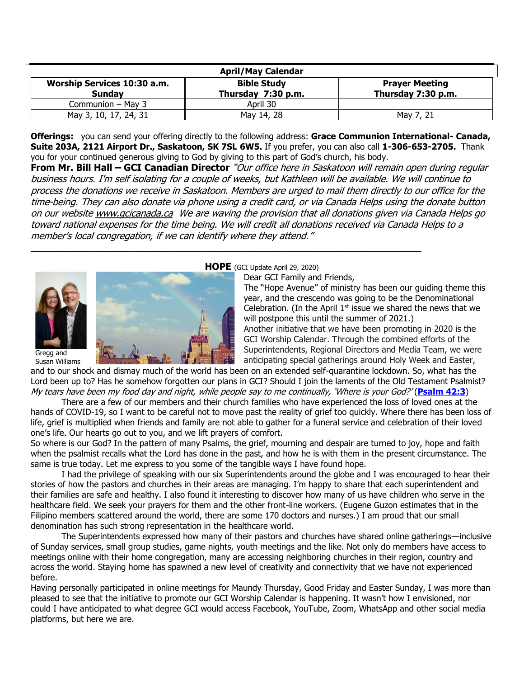| <b>April/May Calendar</b>                    |                                          |                                             |
|----------------------------------------------|------------------------------------------|---------------------------------------------|
| Worship Services 10:30 a.m.<br><b>Sunday</b> | <b>Bible Study</b><br>Thursday 7:30 p.m. | <b>Prayer Meeting</b><br>Thursday 7:30 p.m. |
| Communion - May 3                            | April 30                                 |                                             |
| May 3, 10, 17, 24, 31                        | May 14, 28                               | Mav                                         |

**Offerings:** you can send your offering directly to the following address: **Grace Communion International- Canada, Suite 203A, 2121 Airport Dr., Saskatoon, SK 7SL 6W5.** If you prefer, you can also call **1-306-653-2705.** Thank you for your continued generous giving to God by giving to this part of God's church, his body.

**From Mr. Bill Hall – GCI Canadian Director** "Our office here in Saskatoon will remain open during regular business hours. I'm self isolating for a couple of weeks, but Kathleen will be available. We will continue to process the donations we receive in Saskatoon. Members are urged to mail them directly to our office for the time-being. They can also donate via phone using a credit card, or via Canada Helps using the donate button on our websit[e www.gcicanada.ca](https://eur03.safelinks.protection.outlook.com/?url=http%3A%2F%2Fwww.gcicanada.ca%2F&data=02%7C01%7C%7C9fd93e29c2b44509e5a008d7caa78fdb%7C84df9e7fe9f640afb435aaaaaaaaaaaa%7C1%7C0%7C637200693331983394&sdata=VAGy4Q%2BxbhHuYaeEiDz%2FQyicT%2FoiY4Ir9kc8w5yHRPs%3D&reserved=0) We are waving the provision that all donations given via Canada Helps go toward national expenses for the time being. We will credit all donations received via Canada Helps to a member's local congregation, if we can identify where they attend."



Gregg and Susan Williams



#### **HOPE** (GCI Update April 29, 2020)

\_\_\_\_\_\_\_\_\_\_\_\_\_\_\_\_\_\_\_\_\_\_\_\_\_\_\_\_\_\_\_\_\_\_\_\_\_\_\_\_\_\_\_\_\_\_\_\_\_\_\_\_\_\_\_\_\_\_\_\_\_\_\_\_\_\_\_\_\_\_\_\_\_\_\_\_

Dear GCI Family and Friends,

The "Hope Avenue" of ministry has been our guiding theme this year, and the crescendo was going to be the Denominational Celebration. (In the April  $1<sup>st</sup>$  issue we shared the news that we will postpone this until the summer of 2021.) Another initiative that we have been promoting in 2020 is the GCI Worship Calendar. Through the combined efforts of the Superintendents, Regional Directors and Media Team, we were anticipating special gatherings around Holy Week and Easter,

and to our shock and dismay much of the world has been on an extended self-quarantine lockdown. So, what has the Lord been up to? Has he somehow forgotten our plans in GCI? Should I join the laments of the Old Testament Psalmist? My tears have been my food day and night, while people say to me continually, 'Where is your God?' (**[Psalm 42:3](https://biblia.com/bible/niv/Ps%2042.3)**)

There are a few of our members and their church families who have experienced the loss of loved ones at the hands of COVID-19, so I want to be careful not to move past the reality of grief too quickly. Where there has been loss of life, grief is multiplied when friends and family are not able to gather for a funeral service and celebration of their loved one's life. Our hearts go out to you, and we lift prayers of comfort.

So where is our God? In the pattern of many Psalms, the grief, mourning and despair are turned to joy, hope and faith when the psalmist recalls what the Lord has done in the past, and how he is with them in the present circumstance. The same is true today. Let me express to you some of the tangible ways I have found hope.

I had the privilege of speaking with our six Superintendents around the globe and I was encouraged to hear their stories of how the pastors and churches in their areas are managing. I'm happy to share that each superintendent and their families are safe and healthy. I also found it interesting to discover how many of us have children who serve in the healthcare field. We seek your prayers for them and the other front-line workers. (Eugene Guzon estimates that in the Filipino members scattered around the world, there are some 170 doctors and nurses.) I am proud that our small denomination has such strong representation in the healthcare world.

The Superintendents expressed how many of their pastors and churches have shared online gatherings—inclusive of Sunday services, small group studies, game nights, youth meetings and the like. Not only do members have access to meetings online with their home congregation, many are accessing neighboring churches in their region, country and across the world. Staying home has spawned a new level of creativity and connectivity that we have not experienced before.

Having personally participated in online meetings for Maundy Thursday, Good Friday and Easter Sunday, I was more than pleased to see that the initiative to promote our GCI Worship Calendar is happening. It wasn't how I envisioned, nor could I have anticipated to what degree GCI would access Facebook, YouTube, Zoom, WhatsApp and other social media platforms, but here we are.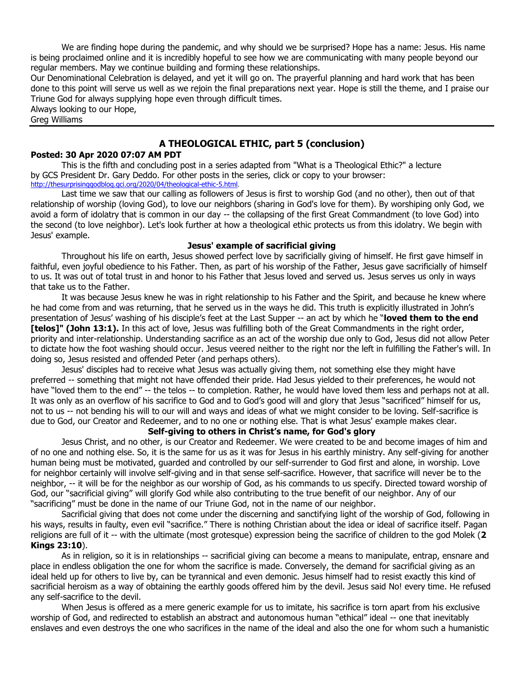We are finding hope during the pandemic, and why should we be surprised? Hope has a name: Jesus. His name is being proclaimed online and it is incredibly hopeful to see how we are communicating with many people beyond our regular members. May we continue building and forming these relationships.

Our Denominational Celebration is delayed, and yet it will go on. The prayerful planning and hard work that has been done to this point will serve us well as we rejoin the final preparations next year. Hope is still the theme, and I praise our Triune God for always supplying hope even through difficult times.

Always looking to our Hope, Greg Williams

# **[A THEOLOGICAL ETHIC, part 5 \(conclusion\)](http://feedproxy.google.com/~r/gci/zGUy/~3/m1ZNIVt--hs/theological-ethic-5.html?utm_source=feedburner&utm_medium=email)**

### **Posted: 30 Apr 2020 07:07 AM PDT**

This is the fifth and concluding post in a series adapted from "What is a Theological Ethic?" a lecture by [GCS](https://www.gcs.edu/) President Dr. Gary Deddo. For other posts in the series, click or copy to your browser: <http://thesurprisinggodblog.gci.org/2020/04/theological-ethic-5.html>.

[Last time](http://thesurprisinggodblog.gci.org/2020/04/theological-ethic-4.html) we saw that our calling as followers of Jesus is first to worship God (and no other), then out of that relationship of worship (loving God), to love our neighbors (sharing in God's love for them). By worshiping only God, we avoid a form of idolatry that is common in our day -- the collapsing of the first Great Commandment (to love God) into the second (to love neighbor). Let's look further at how a theological ethic protects us from this idolatry. We begin with Jesus' example.

#### **Jesus' example of sacrificial giving**

Throughout his life on earth, Jesus showed perfect love by sacrificially giving of himself. He first gave himself in faithful, even joyful obedience to his Father. Then, as part of his worship of the Father, Jesus gave sacrificially of himself to us. It was out of total trust in and honor to his Father that Jesus loved and served us. Jesus serves us only in ways that take us to the Father.

It was because Jesus knew he was in right relationship to his Father and the Spirit, and because he knew where he had come from and was returning, that he served us in the ways he did. This truth is explicitly illustrated in John's presentation of Jesus' washing of his disciple's feet at the Last Supper -- an act by which he "**loved them to the end [telos]" (John 13:1).** In this act of love, Jesus was fulfilling both of the Great Commandments in the right order, priority and inter-relationship. Understanding sacrifice as an act of the worship due only to God, Jesus did not allow Peter to dictate how the foot washing should occur. Jesus veered neither to the right nor the left in fulfilling the Father's will. In doing so, Jesus resisted and offended Peter (and perhaps others).

Jesus' disciples had to receive what Jesus was actually giving them, not something else they might have preferred -- something that might not have offended their pride. Had Jesus yielded to their preferences, he would not have "loved them to the end" -- the telos -- to completion. Rather, he would have loved them less and perhaps not at all. It was only as an overflow of his sacrifice to God and to God's good will and glory that Jesus "sacrificed" himself for us, not to us -- not bending his will to our will and ways and ideas of what we might consider to be loving. Self-sacrifice is due to God, our Creator and Redeemer, and to no one or nothing else. That is what Jesus' example makes clear.

#### **Self-giving to others in Christ's name, for God's glory**

Jesus Christ, and no other, is our Creator and Redeemer. We were created to be and become images of him and of no one and nothing else. So, it is the same for us as it was for Jesus in his earthly ministry. Any self-giving for another human being must be motivated, guarded and controlled by our self-surrender to God first and alone, in worship. Love for neighbor certainly will involve self-giving and in that sense self-sacrifice. However, that sacrifice will never be to the neighbor, -- it will be for the neighbor as our worship of God, as his commands to us specify. Directed toward worship of God, our "sacrificial giving" will glorify God while also contributing to the true benefit of our neighbor. Any of our "sacrificing" must be done in the name of our Triune God, not in the name of our neighbor.

Sacrificial giving that does not come under the discerning and sanctifying light of the worship of God, following in his ways, results in faulty, even evil "sacrifice." There is nothing Christian about the idea or ideal of sacrifice itself. Pagan religions are full of it -- with the ultimate (most grotesque) expression being the sacrifice of children to the god Molek (**2 Kings 23:10**).

As in religion, so it is in relationships -- sacrificial giving can become a means to manipulate, entrap, ensnare and place in endless obligation the one for whom the sacrifice is made. Conversely, the demand for sacrificial giving as an ideal held up for others to live by, can be tyrannical and even demonic. Jesus himself had to resist exactly this kind of sacrificial heroism as a way of obtaining the earthly goods offered him by the devil. Jesus said No! every time. He refused any self-sacrifice to the devil.

When Jesus is offered as a mere generic example for us to imitate, his sacrifice is torn apart from his exclusive worship of God, and redirected to establish an abstract and autonomous human "ethical" ideal -- one that inevitably enslaves and even destroys the one who sacrifices in the name of the ideal and also the one for whom such a humanistic